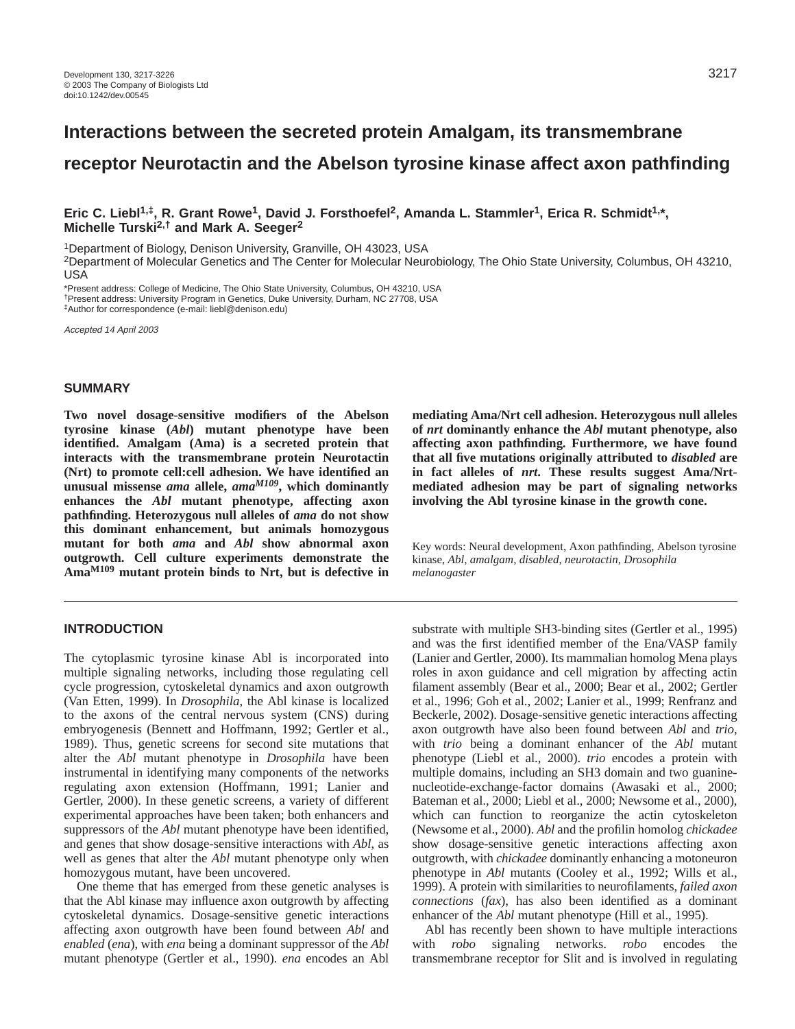# **Interactions between the secreted protein Amalgam, its transmembrane receptor Neurotactin and the Abelson tyrosine kinase affect axon pathfinding**

**Eric C. Liebl1,‡, R. Grant Rowe1, David J. Forsthoefel2, Amanda L. Stammler1, Erica R. Schmidt1,\*, Michelle Turski2,† and Mark A. Seeger2**

1Department of Biology, Denison University, Granville, OH 43023, USA

2Department of Molecular Genetics and The Center for Molecular Neurobiology, The Ohio State University, Columbus, OH 43210, USA

\*Present address: College of Medicine, The Ohio State University, Columbus, OH 43210, USA †Present address: University Program in Genetics, Duke University, Durham, NC 27708, USA ‡Author for correspondence (e-mail: liebl@denison.edu)

Accepted 14 April 2003

### **SUMMARY**

**Two novel dosage-sensitive modifiers of the Abelson tyrosine kinase (***Abl***) mutant phenotype have been identified. Amalgam (Ama) is a secreted protein that interacts with the transmembrane protein Neurotactin (Nrt) to promote cell:cell adhesion. We have identified an unusual missense** *ama* **allele,** *amaM109***, which dominantly enhances the** *Abl* **mutant phenotype, affecting axon pathfinding. Heterozygous null alleles of** *ama* **do not show this dominant enhancement, but animals homozygous mutant for both** *ama* **and** *Abl* **show abnormal axon outgrowth. Cell culture experiments demonstrate the AmaM109 mutant protein binds to Nrt, but is defective in**

# **INTRODUCTION**

The cytoplasmic tyrosine kinase Abl is incorporated into multiple signaling networks, including those regulating cell cycle progression, cytoskeletal dynamics and axon outgrowth (Van Etten, 1999). In *Drosophila*, the Abl kinase is localized to the axons of the central nervous system (CNS) during embryogenesis (Bennett and Hoffmann, 1992; Gertler et al., 1989). Thus, genetic screens for second site mutations that alter the *Abl* mutant phenotype in *Drosophila* have been instrumental in identifying many components of the networks regulating axon extension (Hoffmann, 1991; Lanier and Gertler, 2000). In these genetic screens, a variety of different experimental approaches have been taken; both enhancers and suppressors of the *Abl* mutant phenotype have been identified, and genes that show dosage-sensitive interactions with *Abl*, as well as genes that alter the *Abl* mutant phenotype only when homozygous mutant, have been uncovered.

One theme that has emerged from these genetic analyses is that the Abl kinase may influence axon outgrowth by affecting cytoskeletal dynamics. Dosage-sensitive genetic interactions affecting axon outgrowth have been found between *Abl* and *enabled* (*ena*), with *ena* being a dominant suppressor of the *Abl* mutant phenotype (Gertler et al., 1990). *ena* encodes an Abl **mediating Ama/Nrt cell adhesion. Heterozygous null alleles of** *nrt* **dominantly enhance the** *Abl* **mutant phenotype, also affecting axon pathfinding. Furthermore, we have found that all five mutations originally attributed to** *disabled* **are in fact alleles of** *nrt***. These results suggest Ama/Nrtmediated adhesion may be part of signaling networks involving the Abl tyrosine kinase in the growth cone.** 

Key words: Neural development, Axon pathfinding, Abelson tyrosine kinase, *Abl*, *amalgam*, *disabled*, *neurotactin*, *Drosophila melanogaster*

substrate with multiple SH3-binding sites (Gertler et al., 1995) and was the first identified member of the Ena/VASP family (Lanier and Gertler, 2000). Its mammalian homolog Mena plays roles in axon guidance and cell migration by affecting actin filament assembly (Bear et al., 2000; Bear et al., 2002; Gertler et al., 1996; Goh et al., 2002; Lanier et al., 1999; Renfranz and Beckerle, 2002). Dosage-sensitive genetic interactions affecting axon outgrowth have also been found between *Abl* and *trio*, with *trio* being a dominant enhancer of the *Abl* mutant phenotype (Liebl et al., 2000). *trio* encodes a protein with multiple domains, including an SH3 domain and two guaninenucleotide-exchange-factor domains (Awasaki et al., 2000; Bateman et al., 2000; Liebl et al., 2000; Newsome et al., 2000), which can function to reorganize the actin cytoskeleton (Newsome et al., 2000). *Abl* and the profilin homolog *chickadee* show dosage-sensitive genetic interactions affecting axon outgrowth, with *chickadee* dominantly enhancing a motoneuron phenotype in *Abl* mutants (Cooley et al., 1992; Wills et al., 1999). A protein with similarities to neurofilaments, *failed axon connections* (*fax*), has also been identified as a dominant enhancer of the *Abl* mutant phenotype (Hill et al., 1995).

Abl has recently been shown to have multiple interactions with *robo* signaling networks. *robo* encodes the transmembrane receptor for Slit and is involved in regulating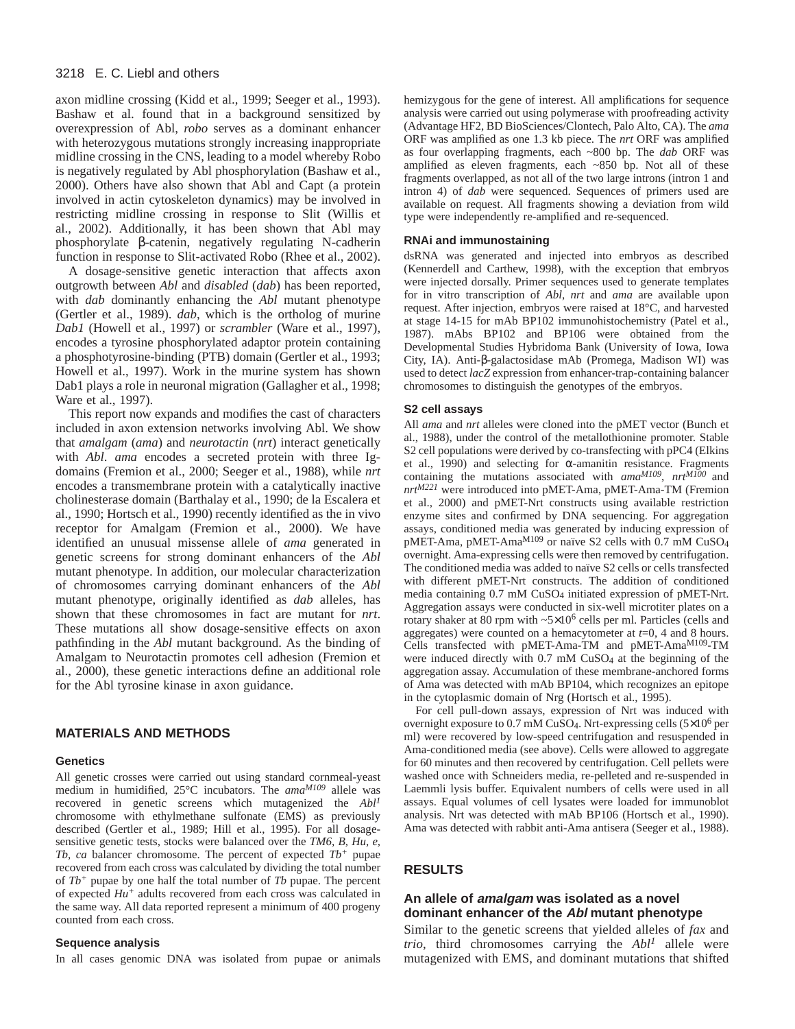axon midline crossing (Kidd et al., 1999; Seeger et al., 1993). Bashaw et al. found that in a background sensitized by overexpression of Abl, *robo* serves as a dominant enhancer with heterozygous mutations strongly increasing inappropriate midline crossing in the CNS, leading to a model whereby Robo is negatively regulated by Abl phosphorylation (Bashaw et al., 2000). Others have also shown that Abl and Capt (a protein involved in actin cytoskeleton dynamics) may be involved in restricting midline crossing in response to Slit (Willis et al., 2002). Additionally, it has been shown that Abl may phosphorylate β-catenin, negatively regulating N-cadherin function in response to Slit-activated Robo (Rhee et al., 2002).

A dosage-sensitive genetic interaction that affects axon outgrowth between *Abl* and *disabled* (*dab*) has been reported, with *dab* dominantly enhancing the *Abl* mutant phenotype (Gertler et al., 1989). *dab*, which is the ortholog of murine *Dab1* (Howell et al., 1997) or *scrambler* (Ware et al., 1997), encodes a tyrosine phosphorylated adaptor protein containing a phosphotyrosine-binding (PTB) domain (Gertler et al., 1993; Howell et al., 1997). Work in the murine system has shown Dab1 plays a role in neuronal migration (Gallagher et al., 1998; Ware et al., 1997).

This report now expands and modifies the cast of characters included in axon extension networks involving Abl. We show that *amalgam* (*ama*) and *neurotactin* (*nrt*) interact genetically with *Abl*. *ama* encodes a secreted protein with three Igdomains (Fremion et al., 2000; Seeger et al., 1988), while *nrt* encodes a transmembrane protein with a catalytically inactive cholinesterase domain (Barthalay et al., 1990; de la Escalera et al., 1990; Hortsch et al., 1990) recently identified as the in vivo receptor for Amalgam (Fremion et al., 2000). We have identified an unusual missense allele of *ama* generated in genetic screens for strong dominant enhancers of the *Abl* mutant phenotype. In addition, our molecular characterization of chromosomes carrying dominant enhancers of the *Abl* mutant phenotype, originally identified as *dab* alleles, has shown that these chromosomes in fact are mutant for *nrt*. These mutations all show dosage-sensitive effects on axon pathfinding in the *Abl* mutant background. As the binding of Amalgam to Neurotactin promotes cell adhesion (Fremion et al., 2000), these genetic interactions define an additional role for the Abl tyrosine kinase in axon guidance.

#### **MATERIALS AND METHODS**

#### **Genetics**

All genetic crosses were carried out using standard cornmeal-yeast medium in humidified, 25°C incubators. The ama<sup>M109</sup> allele was recovered in genetic screens which mutagenized the *Abl1* chromosome with ethylmethane sulfonate (EMS) as previously described (Gertler et al., 1989; Hill et al., 1995). For all dosagesensitive genetic tests, stocks were balanced over the *TM6, B, Hu, e, Tb, ca* balancer chromosome. The percent of expected *Tb<sup>+</sup>* pupae recovered from each cross was calculated by dividing the total number of *Tb<sup>+</sup>* pupae by one half the total number of *Tb* pupae. The percent of expected *Hu<sup>+</sup>* adults recovered from each cross was calculated in the same way. All data reported represent a minimum of 400 progeny counted from each cross.

# **Sequence analysis**

In all cases genomic DNA was isolated from pupae or animals

hemizygous for the gene of interest. All amplifications for sequence analysis were carried out using polymerase with proofreading activity (Advantage HF2, BD BioSciences/Clontech, Palo Alto, CA). The *ama* ORF was amplified as one 1.3 kb piece. The *nrt* ORF was amplified as four overlapping fragments, each ~800 bp. The *dab* ORF was amplified as eleven fragments, each ~850 bp. Not all of these fragments overlapped, as not all of the two large introns (intron 1 and intron 4) of *dab* were sequenced. Sequences of primers used are available on request. All fragments showing a deviation from wild type were independently re-amplified and re-sequenced.

#### **RNAi and immunostaining**

dsRNA was generated and injected into embryos as described (Kennerdell and Carthew, 1998), with the exception that embryos were injected dorsally. Primer sequences used to generate templates for in vitro transcription of *Abl*, *nrt* and *ama* are available upon request. After injection, embryos were raised at 18°C, and harvested at stage 14-15 for mAb BP102 immunohistochemistry (Patel et al., 1987). mAbs BP102 and BP106 were obtained from the Developmental Studies Hybridoma Bank (University of Iowa, Iowa City, IA). Anti-β-galactosidase mAb (Promega, Madison WI) was used to detect *lacZ* expression from enhancer-trap-containing balancer chromosomes to distinguish the genotypes of the embryos.

#### **S2 cell assays**

All *ama* and *nrt* alleles were cloned into the pMET vector (Bunch et al., 1988), under the control of the metallothionine promoter. Stable S2 cell populations were derived by co-transfecting with pPC4 (Elkins et al., 1990) and selecting for  $\alpha$ -amanitin resistance. Fragments containing the mutations associated with *amaM109*, *nrtM100* and *nrtM221* were introduced into pMET-Ama, pMET-Ama-TM (Fremion et al., 2000) and pMET-Nrt constructs using available restriction enzyme sites and confirmed by DNA sequencing. For aggregation assays, conditioned media was generated by inducing expression of pMET-Ama, pMET-AmaM109 or naïve S2 cells with 0.7 mM CuSO4 overnight. Ama-expressing cells were then removed by centrifugation. The conditioned media was added to naïve S2 cells or cells transfected with different pMET-Nrt constructs. The addition of conditioned media containing 0.7 mM CuSO4 initiated expression of pMET-Nrt. Aggregation assays were conducted in six-well microtiter plates on a rotary shaker at 80 rpm with  $\sim 5 \times 10^6$  cells per ml. Particles (cells and aggregates) were counted on a hemacytometer at *t*=0, 4 and 8 hours. Cells transfected with pMET-Ama-TM and pMET-AmaM109-TM were induced directly with 0.7 mM CuSO<sub>4</sub> at the beginning of the aggregation assay. Accumulation of these membrane-anchored forms of Ama was detected with mAb BP104, which recognizes an epitope in the cytoplasmic domain of Nrg (Hortsch et al., 1995).

For cell pull-down assays, expression of Nrt was induced with overnight exposure to 0.7 mM CuSO4. Nrt-expressing cells (5×10<sup>6</sup> per ml) were recovered by low-speed centrifugation and resuspended in Ama-conditioned media (see above). Cells were allowed to aggregate for 60 minutes and then recovered by centrifugation. Cell pellets were washed once with Schneiders media, re-pelleted and re-suspended in Laemmli lysis buffer. Equivalent numbers of cells were used in all assays. Equal volumes of cell lysates were loaded for immunoblot analysis. Nrt was detected with mAb BP106 (Hortsch et al., 1990). Ama was detected with rabbit anti-Ama antisera (Seeger et al., 1988).

### **RESULTS**

# **An allele of amalgam was isolated as a novel dominant enhancer of the Abl mutant phenotype**

Similar to the genetic screens that yielded alleles of *fax* and *trio*, third chromosomes carrying the *Abl<sup>1</sup>* allele were mutagenized with EMS, and dominant mutations that shifted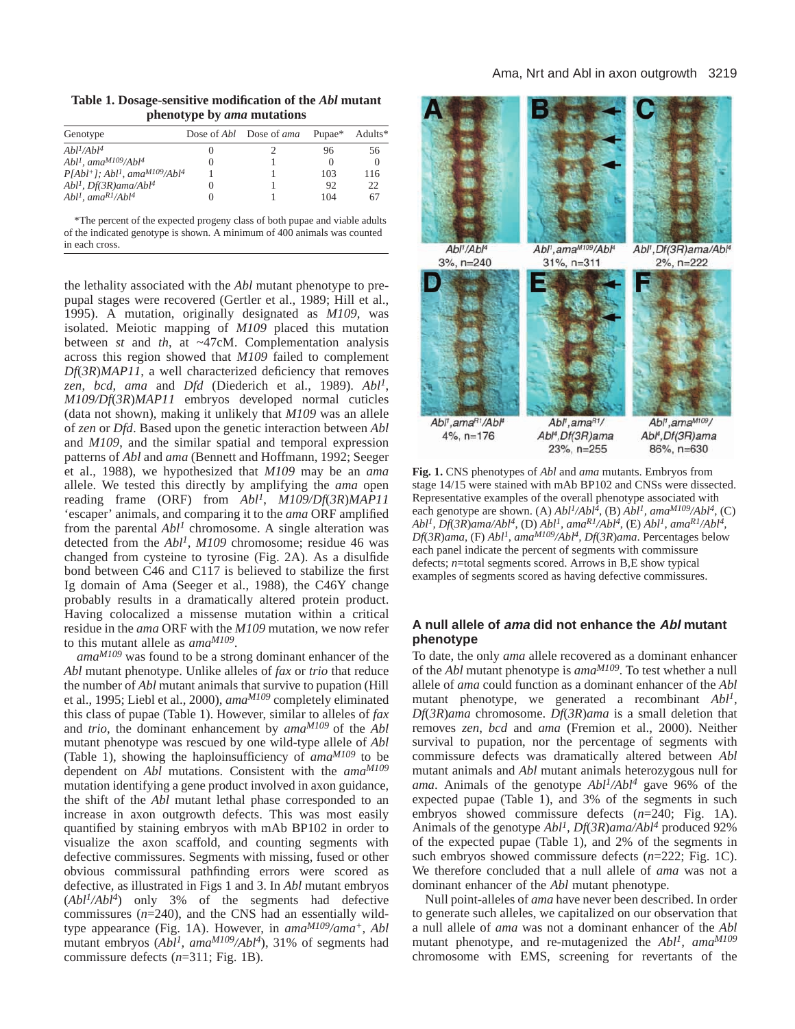**Table 1. Dosage-sensitive modification of the** *Abl* **mutant phenotype by** *ama* **mutations**

| Genotype                                                              |   | Dose of Abl Dose of ama | Pupae* | Adults*  |
|-----------------------------------------------------------------------|---|-------------------------|--------|----------|
| Abl <sup>1</sup> /Abl <sup>4</sup>                                    | O |                         | 96     | 56       |
| Abl <sup>1</sup> , ama <sup>M109</sup> /Abl <sup>4</sup>              |   |                         |        | $\Omega$ |
| $P[Abl^+]$ ; Abl <sup>1</sup> , ama <sup>M109</sup> /Abl <sup>4</sup> |   |                         | 103    | 116      |
| Abl <sup>1</sup> , Df(3R)ama/Abl <sup>4</sup>                         |   |                         | 92     | 22       |
| $Abl1$ , ama <sup>R1</sup> /Abl <sup>4</sup>                          |   |                         | 104    | 67       |

\*The percent of the expected progeny class of both pupae and viable adults of the indicated genotype is shown. A minimum of 400 animals was counted in each cross.

the lethality associated with the *Abl* mutant phenotype to prepupal stages were recovered (Gertler et al., 1989; Hill et al., 1995). A mutation, originally designated as *M109*, was isolated. Meiotic mapping of *M109* placed this mutation between *st* and *th*, at ~47cM. Complementation analysis across this region showed that *M109* failed to complement *Df*(*3R*)*MAP11*, a well characterized deficiency that removes *zen*, *bcd*, *ama* and *Dfd* (Diederich et al., 1989). *Abl1*, *M109/Df*(*3R*)*MAP11* embryos developed normal cuticles (data not shown), making it unlikely that *M109* was an allele of *zen* or *Dfd*. Based upon the genetic interaction between *Abl* and *M109*, and the similar spatial and temporal expression patterns of *Abl* and *ama* (Bennett and Hoffmann, 1992; Seeger et al., 1988), we hypothesized that *M109* may be an *ama* allele. We tested this directly by amplifying the *ama* open reading frame (ORF) from *Abl1*, *M109/Df*(*3R*)*MAP11* 'escaper' animals, and comparing it to the *ama* ORF amplified from the parental *Abl<sup>1</sup>* chromosome. A single alteration was detected from the *Abl1*, *M109* chromosome; residue 46 was changed from cysteine to tyrosine (Fig. 2A). As a disulfide bond between C46 and C117 is believed to stabilize the first Ig domain of Ama (Seeger et al., 1988), the C46Y change probably results in a dramatically altered protein product. Having colocalized a missense mutation within a critical residue in the *ama* ORF with the *M109* mutation, we now refer to this mutant allele as *amaM109*.

*amaM109* was found to be a strong dominant enhancer of the *Abl* mutant phenotype. Unlike alleles of *fax* or *trio* that reduce the number of *Abl* mutant animals that survive to pupation (Hill et al., 1995; Liebl et al., 2000), *amaM109* completely eliminated this class of pupae (Table 1). However, similar to alleles of *fax* and *trio*, the dominant enhancement by *amaM109* of the *Abl* mutant phenotype was rescued by one wild-type allele of *Abl* (Table 1), showing the haploinsufficiency of *amaM109* to be dependent on *Abl* mutations. Consistent with the *amaM109* mutation identifying a gene product involved in axon guidance, the shift of the *Abl* mutant lethal phase corresponded to an increase in axon outgrowth defects. This was most easily quantified by staining embryos with mAb BP102 in order to visualize the axon scaffold, and counting segments with defective commissures. Segments with missing, fused or other obvious commissural pathfinding errors were scored as defective, as illustrated in Figs 1 and 3. In *Abl* mutant embryos (*Abl1/Abl4*) only 3% of the segments had defective commissures (*n*=240), and the CNS had an essentially wildtype appearance (Fig. 1A). However, in *amaM109/ama+, Abl* mutant embryos (*Abl1, amaM109/Abl4*), 31% of segments had commissure defects (*n*=311; Fig. 1B).



**Fig. 1.** CNS phenotypes of *Abl* and *ama* mutants. Embryos from stage 14/15 were stained with mAb BP102 and CNSs were dissected. Representative examples of the overall phenotype associated with each genotype are shown. (A)  $Abl<sup>1</sup>/Abl<sup>4</sup>$ , (B)  $Abl<sup>1</sup>$ , ama<sup>M109</sup>/ $Abl<sup>4</sup>$ , (C) *Abl1, Df*(*3R*)*ama/Abl4*, (D) *Abl1, amaR1/Abl4*, (E) *Abl1, amaR1/Abl4, Df*(*3R*)*ama*, (F) *Abl1, amaM109/Abl4, Df*(*3R*)*ama*. Percentages below each panel indicate the percent of segments with commissure defects; *n*=total segments scored. Arrows in B,E show typical examples of segments scored as having defective commissures.

# **A null allele of ama did not enhance the Abl mutant phenotype**

To date, the only *ama* allele recovered as a dominant enhancer of the *Abl* mutant phenotype is *amaM109*. To test whether a null allele of *ama* could function as a dominant enhancer of the *Abl* mutant phenotype, we generated a recombinant *Abl1, Df*(*3R*)*ama* chromosome. *Df*(*3R*)*ama* is a small deletion that removes *zen*, *bcd* and *ama* (Fremion et al., 2000). Neither survival to pupation, nor the percentage of segments with commissure defects was dramatically altered between *Abl* mutant animals and *Abl* mutant animals heterozygous null for *ama*. Animals of the genotype *Abl1/Abl4* gave 96% of the expected pupae (Table 1), and 3% of the segments in such embryos showed commissure defects ( $n=240$ ; Fig. 1A). Animals of the genotype *Abl1, Df*(*3R*)*ama/Abl4* produced 92% of the expected pupae (Table 1), and 2% of the segments in such embryos showed commissure defects (*n*=222; Fig. 1C). We therefore concluded that a null allele of *ama* was not a dominant enhancer of the *Abl* mutant phenotype.

Null point-alleles of *ama* have never been described. In order to generate such alleles, we capitalized on our observation that a null allele of *ama* was not a dominant enhancer of the *Abl* mutant phenotype, and re-mutagenized the *Abl1, amaM109* chromosome with EMS, screening for revertants of the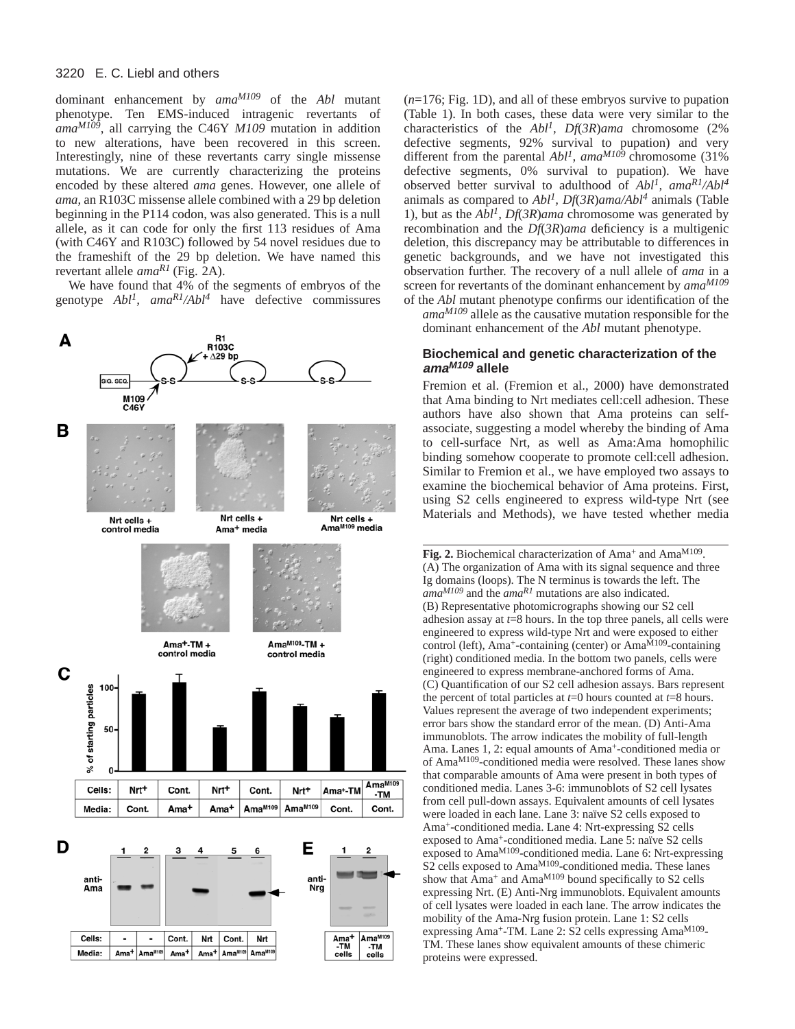dominant enhancement by *amaM109* of the *Abl* mutant phenotype. Ten EMS-induced intragenic revertants of *amaM109*, all carrying the C46Y *M109* mutation in addition to new alterations, have been recovered in this screen. Interestingly, nine of these revertants carry single missense mutations. We are currently characterizing the proteins encoded by these altered *ama* genes. However, one allele of *ama*, an R103C missense allele combined with a 29 bp deletion beginning in the P114 codon, was also generated. This is a null allele, as it can code for only the first 113 residues of Ama (with C46Y and R103C) followed by 54 novel residues due to the frameshift of the 29 bp deletion. We have named this revertant allele *amaR1* (Fig. 2A).

We have found that 4% of the segments of embryos of the genotype *Abl1, amaR1/Abl4* have defective commissures



(*n*=176; Fig. 1D), and all of these embryos survive to pupation (Table 1). In both cases, these data were very similar to the characteristics of the *Abl1, Df*(*3R*)*ama* chromosome (2% defective segments, 92% survival to pupation) and very different from the parental *Abl1, amaM109* chromosome (31% defective segments, 0% survival to pupation). We have observed better survival to adulthood of *Abl1, amaR1/Abl4* animals as compared to *Abl1, Df*(*3R*)*ama/Abl4* animals (Table 1), but as the *Abl1, Df*(*3R*)*ama* chromosome was generated by recombination and the *Df*(*3R*)*ama* deficiency is a multigenic deletion, this discrepancy may be attributable to differences in genetic backgrounds, and we have not investigated this observation further. The recovery of a null allele of *ama* in a screen for revertants of the dominant enhancement by *amaM109* of the *Abl* mutant phenotype confirms our identification of the

*amaM109* allele as the causative mutation responsible for the dominant enhancement of the *Abl* mutant phenotype.

# **Biochemical and genetic characterization of the amaM109 allele**

Fremion et al. (Fremion et al., 2000) have demonstrated that Ama binding to Nrt mediates cell:cell adhesion. These authors have also shown that Ama proteins can selfassociate, suggesting a model whereby the binding of Ama to cell-surface Nrt, as well as Ama:Ama homophilic binding somehow cooperate to promote cell:cell adhesion. Similar to Fremion et al., we have employed two assays to examine the biochemical behavior of Ama proteins. First, using S2 cells engineered to express wild-type Nrt (see Materials and Methods), we have tested whether media

Fig. 2. Biochemical characterization of Ama<sup>+</sup> and Ama<sup>M109</sup>. (A) The organization of Ama with its signal sequence and three Ig domains (loops). The N terminus is towards the left. The *amaM109* and the *amaR1* mutations are also indicated. (B) Representative photomicrographs showing our S2 cell adhesion assay at *t*=8 hours. In the top three panels, all cells were engineered to express wild-type Nrt and were exposed to either control (left), Ama<sup>+</sup>-containing (center) or Ama $^{\tilde{M}109}$ -containing (right) conditioned media. In the bottom two panels, cells were engineered to express membrane-anchored forms of Ama. (C) Quantification of our S2 cell adhesion assays. Bars represent the percent of total particles at *t*=0 hours counted at *t*=8 hours. Values represent the average of two independent experiments; error bars show the standard error of the mean. (D) Anti-Ama immunoblots. The arrow indicates the mobility of full-length Ama. Lanes 1, 2: equal amounts of Ama<sup>+</sup>-conditioned media or of AmaM109-conditioned media were resolved. These lanes show that comparable amounts of Ama were present in both types of conditioned media. Lanes 3-6: immunoblots of S2 cell lysates from cell pull-down assays. Equivalent amounts of cell lysates were loaded in each lane. Lane 3: naïve S2 cells exposed to Ama+-conditioned media. Lane 4: Nrt-expressing S2 cells exposed to Ama+-conditioned media. Lane 5: naïve S2 cells exposed to AmaM109-conditioned media. Lane 6: Nrt-expressing S<sub>2</sub> cells exposed to Ama<sup>M109</sup>-conditioned media. These lanes show that  $\text{A}$ ma<sup>+</sup> and  $\text{A}$ ma<sup>M109</sup> bound specifically to S2 cells expressing Nrt. (E) Anti-Nrg immunoblots. Equivalent amounts of cell lysates were loaded in each lane. The arrow indicates the mobility of the Ama-Nrg fusion protein. Lane 1: S2 cells expressing Ama+-TM. Lane 2: S2 cells expressing AmaM109- TM. These lanes show equivalent amounts of these chimeric proteins were expressed.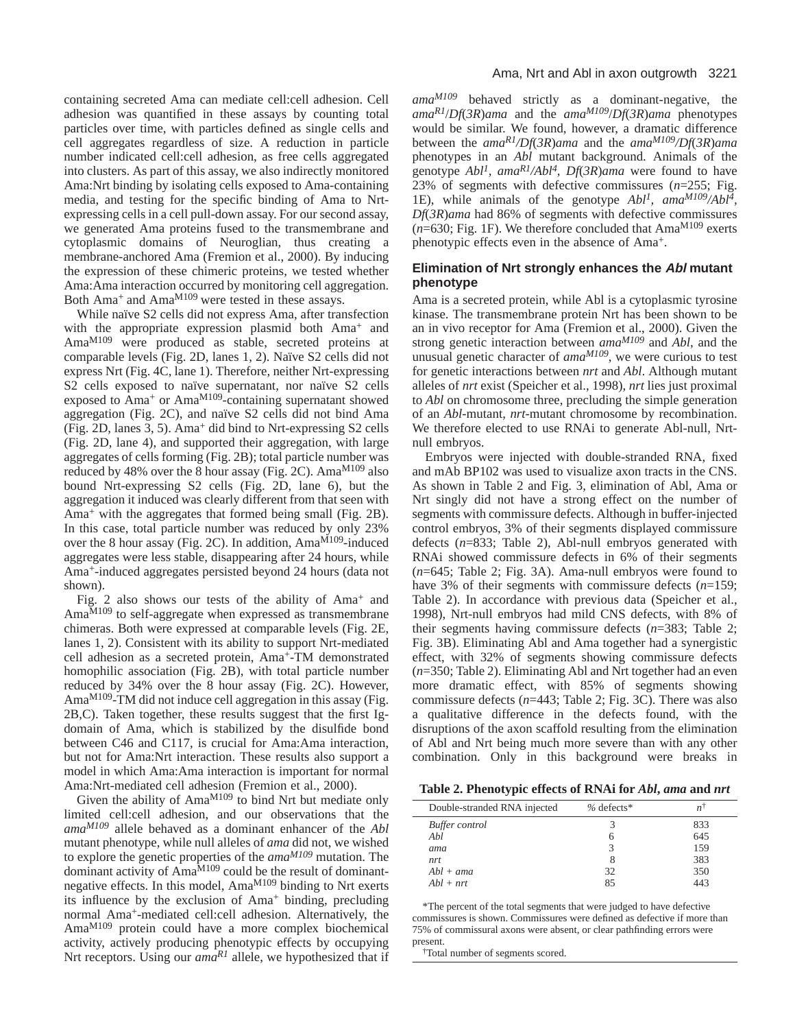containing secreted Ama can mediate cell:cell adhesion. Cell adhesion was quantified in these assays by counting total particles over time, with particles defined as single cells and cell aggregates regardless of size. A reduction in particle number indicated cell:cell adhesion, as free cells aggregated into clusters. As part of this assay, we also indirectly monitored Ama:Nrt binding by isolating cells exposed to Ama-containing media, and testing for the specific binding of Ama to Nrtexpressing cells in a cell pull-down assay. For our second assay, we generated Ama proteins fused to the transmembrane and cytoplasmic domains of Neuroglian, thus creating a membrane-anchored Ama (Fremion et al., 2000). By inducing the expression of these chimeric proteins, we tested whether Ama:Ama interaction occurred by monitoring cell aggregation. Both Ama<sup>+</sup> and Ama<sup>M109</sup> were tested in these assays.

While naïve S2 cells did not express Ama, after transfection with the appropriate expression plasmid both Ama<sup>+</sup> and AmaM109 were produced as stable, secreted proteins at comparable levels (Fig. 2D, lanes 1, 2). Naïve S2 cells did not express Nrt (Fig. 4C, lane 1). Therefore, neither Nrt-expressing S2 cells exposed to naïve supernatant, nor naïve S2 cells exposed to Ama<sup>+</sup> or Ama<sup>M109</sup>-containing supernatant showed aggregation (Fig. 2C), and naïve S2 cells did not bind Ama (Fig. 2D, lanes 3, 5). Ama<sup>+</sup> did bind to Nrt-expressing S2 cells (Fig. 2D, lane 4), and supported their aggregation, with large aggregates of cells forming (Fig. 2B); total particle number was reduced by 48% over the 8 hour assay (Fig. 2C). Ama<sup>M109</sup> also bound Nrt-expressing S2 cells (Fig. 2D, lane 6), but the aggregation it induced was clearly different from that seen with Ama<sup>+</sup> with the aggregates that formed being small (Fig. 2B). In this case, total particle number was reduced by only 23% over the 8 hour assay (Fig. 2C). In addition, Ama<sup>M109</sup>-induced aggregates were less stable, disappearing after 24 hours, while Ama+-induced aggregates persisted beyond 24 hours (data not shown).

Fig. 2 also shows our tests of the ability of Ama<sup>+</sup> and AmaM109 to self-aggregate when expressed as transmembrane chimeras. Both were expressed at comparable levels (Fig. 2E, lanes 1, 2). Consistent with its ability to support Nrt-mediated cell adhesion as a secreted protein, Ama+-TM demonstrated homophilic association (Fig. 2B), with total particle number reduced by 34% over the 8 hour assay (Fig. 2C). However, Ama<sup>M109</sup>-TM did not induce cell aggregation in this assay (Fig. 2B,C). Taken together, these results suggest that the first Igdomain of Ama, which is stabilized by the disulfide bond between C46 and C117, is crucial for Ama:Ama interaction, but not for Ama:Nrt interaction. These results also support a model in which Ama:Ama interaction is important for normal Ama:Nrt-mediated cell adhesion (Fremion et al., 2000).

Given the ability of  $Ama^{M109}$  to bind Nrt but mediate only limited cell:cell adhesion, and our observations that the *amaM109* allele behaved as a dominant enhancer of the *Abl* mutant phenotype, while null alleles of *ama* did not, we wished to explore the genetic properties of the *amaM109* mutation. The dominant activity of Ama<sup>M109</sup> could be the result of dominantnegative effects. In this model, AmaM109 binding to Nrt exerts its influence by the exclusion of Ama<sup>+</sup> binding, precluding normal Ama+-mediated cell:cell adhesion. Alternatively, the AmaM109 protein could have a more complex biochemical activity, actively producing phenotypic effects by occupying Nrt receptors. Using our *ama<sup>R1</sup>* allele, we hypothesized that if *amaM109* behaved strictly as a dominant-negative, the *amaR1*/*Df*(*3R*)*ama* and the *amaM109*/*Df*(*3R*)*ama* phenotypes would be similar. We found, however, a dramatic difference between the *amaR1/Df*(*3R*)*ama* and the *amaM109/Df*(*3R*)*ama* phenotypes in an *Abl* mutant background. Animals of the genotype *Abl1, amaR1/Abl4, Df*(*3R*)*ama* were found to have 23% of segments with defective commissures (*n*=255; Fig. 1E), while animals of the genotype *Abl1, amaM109/Abl4, Df*(*3R*)*ama* had 86% of segments with defective commissures  $(n=630;$  Fig. 1F). We therefore concluded that Ama<sup>M109</sup> exerts phenotypic effects even in the absence of Ama+.

# **Elimination of Nrt strongly enhances the Abl mutant phenotype**

Ama is a secreted protein, while Abl is a cytoplasmic tyrosine kinase. The transmembrane protein Nrt has been shown to be an in vivo receptor for Ama (Fremion et al., 2000). Given the strong genetic interaction between *amaM109* and *Abl*, and the unusual genetic character of *ama<sup>M109</sup>*, we were curious to test for genetic interactions between *nrt* and *Abl*. Although mutant alleles of *nrt* exist (Speicher et al., 1998), *nrt* lies just proximal to *Abl* on chromosome three, precluding the simple generation of an *Abl*-mutant, *nrt*-mutant chromosome by recombination. We therefore elected to use RNAi to generate Abl-null, Nrtnull embryos.

Embryos were injected with double-stranded RNA, fixed and mAb BP102 was used to visualize axon tracts in the CNS. As shown in Table 2 and Fig. 3, elimination of Abl, Ama or Nrt singly did not have a strong effect on the number of segments with commissure defects. Although in buffer-injected control embryos, 3% of their segments displayed commissure defects (*n*=833; Table 2), Abl-null embryos generated with RNAi showed commissure defects in 6% of their segments (*n*=645; Table 2; Fig. 3A). Ama-null embryos were found to have 3% of their segments with commissure defects (*n*=159; Table 2). In accordance with previous data (Speicher et al., 1998), Nrt-null embryos had mild CNS defects, with 8% of their segments having commissure defects (*n*=383; Table 2; Fig. 3B). Eliminating Abl and Ama together had a synergistic effect, with 32% of segments showing commissure defects (*n*=350; Table 2). Eliminating Abl and Nrt together had an even more dramatic effect, with 85% of segments showing commissure defects (*n*=443; Table 2; Fig. 3C). There was also a qualitative difference in the defects found, with the disruptions of the axon scaffold resulting from the elimination of Abl and Nrt being much more severe than with any other combination. Only in this background were breaks in

**Table 2. Phenotypic effects of RNAi for** *Abl***,** *ama* **and** *nrt*

| Double-stranded RNA injected | $%$ defects* | n†  |
|------------------------------|--------------|-----|
| Buffer control               | 3            | 833 |
| Abl                          | h            | 645 |
| ama                          |              | 159 |
| nrt                          | 8            | 383 |
| $Abl + ama$                  | 32           | 350 |
| $Abl + nrt$                  | 85           | 443 |

\*The percent of the total segments that were judged to have defective commissures is shown. Commissures were defined as defective if more than 75% of commissural axons were absent, or clear pathfinding errors were present.

†Total number of segments scored.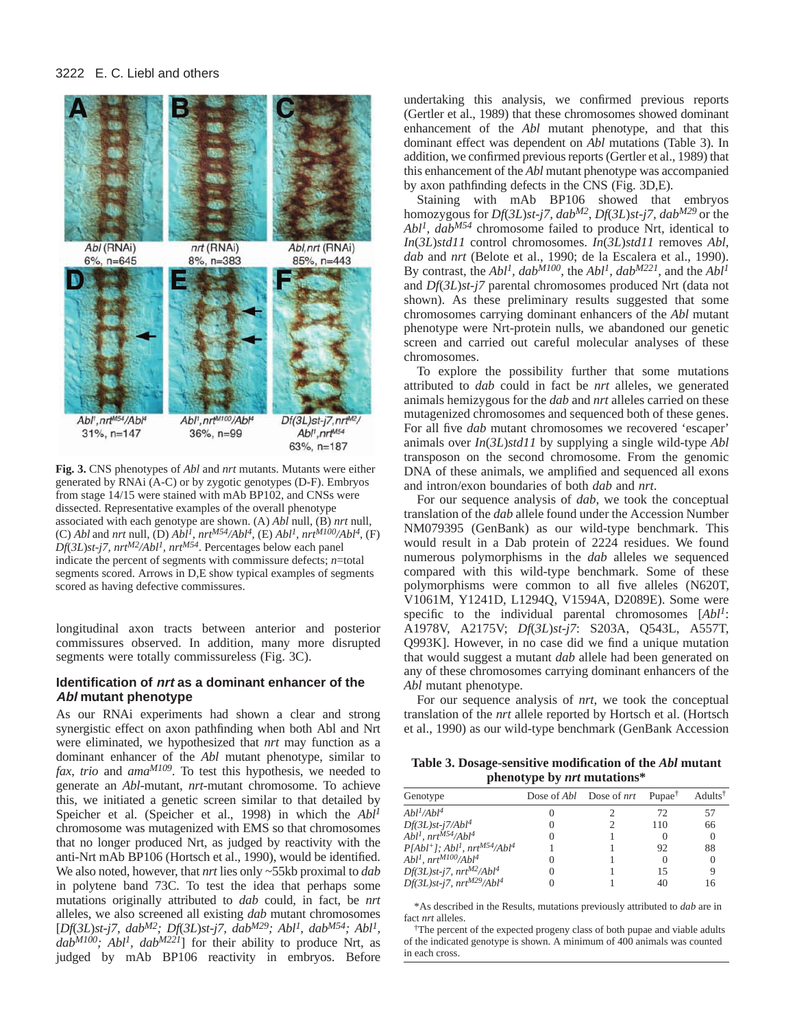

**Fig. 3.** CNS phenotypes of *Abl* and *nrt* mutants. Mutants were either generated by RNAi (A-C) or by zygotic genotypes (D-F). Embryos from stage 14/15 were stained with mAb BP102, and CNSs were dissected. Representative examples of the overall phenotype associated with each genotype are shown. (A) *Abl* null, (B) *nrt* null, (C) *Abl* and *nrt* null, (D)  $Abl^1$ ,  $nrt^{M54}/Abl^4$ , (E)  $Abl^1$ ,  $nrt^{M100}/Abl^4$ , (F) *Df*(*3L*)*st-j7, nrtM2/Abl1, nrtM54*. Percentages below each panel indicate the percent of segments with commissure defects; *n*=total segments scored. Arrows in D,E show typical examples of segments scored as having defective commissures.

longitudinal axon tracts between anterior and posterior commissures observed. In addition, many more disrupted segments were totally commissureless (Fig. 3C).

# **Identification of nrt as a dominant enhancer of the Abl mutant phenotype**

As our RNAi experiments had shown a clear and strong synergistic effect on axon pathfinding when both Abl and Nrt were eliminated, we hypothesized that *nrt* may function as a dominant enhancer of the *Abl* mutant phenotype, similar to *fax*, *trio* and *amaM109*. To test this hypothesis, we needed to generate an *Abl*-mutant, *nrt*-mutant chromosome. To achieve this, we initiated a genetic screen similar to that detailed by Speicher et al. (Speicher et al., 1998) in which the *Abl1* chromosome was mutagenized with EMS so that chromosomes that no longer produced Nrt, as judged by reactivity with the anti-Nrt mAb BP106 (Hortsch et al., 1990), would be identified. We also noted, however, that *nrt* lies only ~55kb proximal to *dab* in polytene band 73C. To test the idea that perhaps some mutations originally attributed to *dab* could, in fact, be *nrt* alleles, we also screened all existing *dab* mutant chromosomes [*Df*(*3L*)*st-j7, dabM2; Df*(*3L*)*st-j7, dabM29; Abl1, dabM54; Abl1, dabM100; Abl1, dabM221*] for their ability to produce Nrt, as judged by mAb BP106 reactivity in embryos. Before

undertaking this analysis, we confirmed previous reports (Gertler et al., 1989) that these chromosomes showed dominant enhancement of the *Abl* mutant phenotype, and that this dominant effect was dependent on *Abl* mutations (Table 3). In addition, we confirmed previous reports (Gertler et al., 1989) that this enhancement of the *Abl* mutant phenotype was accompanied by axon pathfinding defects in the CNS (Fig. 3D,E).

Staining with mAb BP106 showed that embryos homozygous for *Df*(*3L*)*st-j7, dabM2*, *Df*(*3L*)*st-j7, dabM29* or the *Abl1, dabM54* chromosome failed to produce Nrt, identical to *In*(*3L*)*std11* control chromosomes. *In*(*3L*)*std11* removes *Abl*, *dab* and *nrt* (Belote et al., 1990; de la Escalera et al., 1990). By contrast, the *Abl1, dabM100*, the *Abl1, dabM221*, and the *Abl1* and *Df*(*3L*)*st-j7* parental chromosomes produced Nrt (data not shown). As these preliminary results suggested that some chromosomes carrying dominant enhancers of the *Abl* mutant phenotype were Nrt-protein nulls, we abandoned our genetic screen and carried out careful molecular analyses of these chromosomes.

To explore the possibility further that some mutations attributed to *dab* could in fact be *nrt* alleles, we generated animals hemizygous for the *dab* and *nrt* alleles carried on these mutagenized chromosomes and sequenced both of these genes. For all five *dab* mutant chromosomes we recovered 'escaper' animals over *In*(*3L*)*std11* by supplying a single wild-type *Abl* transposon on the second chromosome. From the genomic DNA of these animals, we amplified and sequenced all exons and intron/exon boundaries of both *dab* and *nrt*.

For our sequence analysis of *dab*, we took the conceptual translation of the *dab* allele found under the Accession Number NM079395 (GenBank) as our wild-type benchmark. This would result in a Dab protein of 2224 residues. We found numerous polymorphisms in the *dab* alleles we sequenced compared with this wild-type benchmark. Some of these polymorphisms were common to all five alleles (N620T, V1061M, Y1241D, L1294Q, V1594A, D2089E). Some were specific to the individual parental chromosomes [*Abl1*: A1978V, A2175V; *Df*(*3L*)*st-j7*: S203A, Q543L, A557T, Q993K]. However, in no case did we find a unique mutation that would suggest a mutant *dab* allele had been generated on any of these chromosomes carrying dominant enhancers of the *Abl* mutant phenotype.

For our sequence analysis of *nrt*, we took the conceptual translation of the *nrt* allele reported by Hortsch et al. (Hortsch et al., 1990) as our wild-type benchmark (GenBank Accession

**Table 3. Dosage-sensitive modification of the** *Abl* **mutant phenotype by** *nrt* **mutations\***

| Genotype                                                             |                   | Dose of Abl Dose of nrt Pupae <sup>†</sup> |          | Adults <sup>†</sup> |
|----------------------------------------------------------------------|-------------------|--------------------------------------------|----------|---------------------|
| Abl <sup>1</sup> /Abl <sup>4</sup>                                   | $\left( \right)$  |                                            | 72       | 57                  |
| $Df(3L)st-i7/Abl4$                                                   | $\mathbf{0}$      |                                            | 110      | 66                  |
| $Abl1$ , $nrtMS4/Abl4$                                               | $\mathbf{\Omega}$ |                                            | $\theta$ |                     |
| $P[Abl^+]$ ; Abl <sup>1</sup> , nrt <sup>M54</sup> /Abl <sup>4</sup> |                   |                                            | 92       | 88                  |
| $Abl1$ , $nrtM100/Abl4$                                              | $\theta$          |                                            | $\Omega$ |                     |
| $Df(3L)st$ -j7, $nrt^{M2}/Abl^4$                                     | $\mathbf{\Omega}$ |                                            | 15       |                     |
| $Df(3L)st$ -j7, $nrt^{M29}/Abl^4$                                    |                   |                                            | 40       | 16                  |

\*As described in the Results, mutations previously attributed to *dab* are in fact *nrt* alleles.

†The percent of the expected progeny class of both pupae and viable adults of the indicated genotype is shown. A minimum of 400 animals was counted in each cross.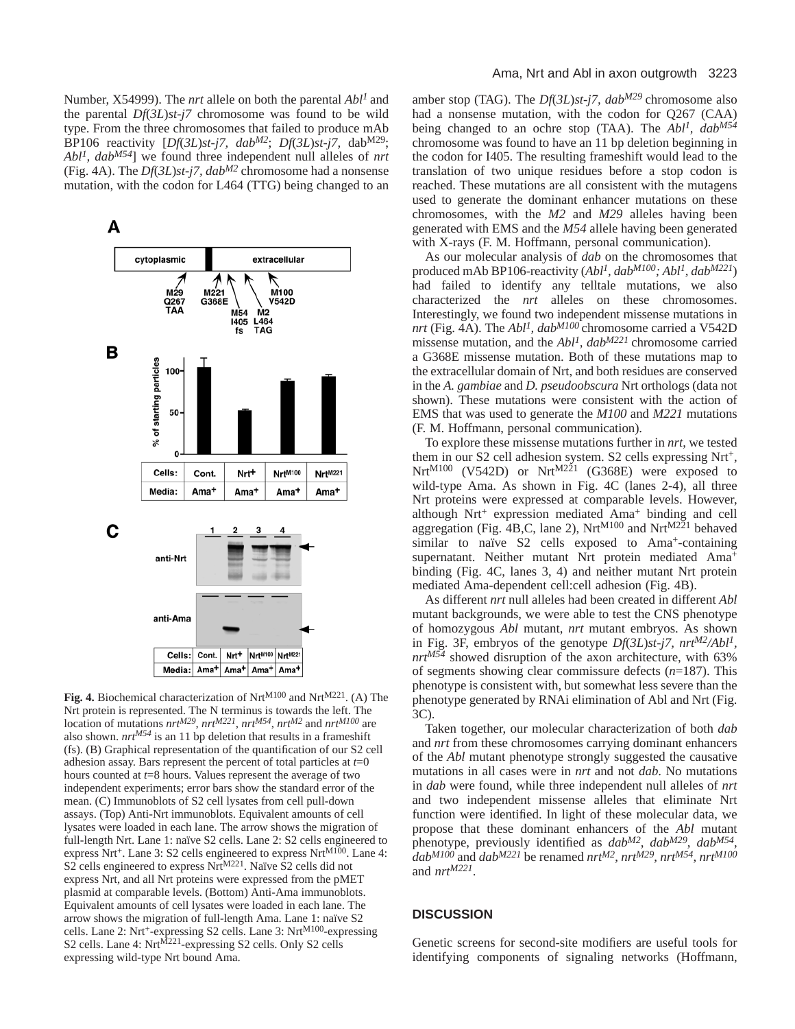Number, X54999). The *nrt* allele on both the parental *Abl1* and the parental *Df*(*3L*)*st-j7* chromosome was found to be wild type. From the three chromosomes that failed to produce mAb BP106 reactivity [Df(3L)st-j7, dab<sup>M2</sup>; Df(3L)st-j7, dab<sup>M29</sup>; *Abl1, dabM54*] we found three independent null alleles of *nrt* (Fig. 4A). The *Df*(*3L*)*st-j7, dabM2* chromosome had a nonsense mutation, with the codon for L464 (TTG) being changed to an



Fig. 4. Biochemical characterization of Nrt<sup>M100</sup> and Nrt<sup>M221</sup>. (A) The Nrt protein is represented. The N terminus is towards the left. The location of mutations *nrtM29*, *nrtM221*, *nrtM54*, *nrtM2* and *nrtM100* are also shown.  $nrt^{M54}$  is an 11 bp deletion that results in a frameshift (fs). (B) Graphical representation of the quantification of our S2 cell adhesion assay. Bars represent the percent of total particles at  $t=0$ hours counted at *t*=8 hours. Values represent the average of two independent experiments; error bars show the standard error of the mean. (C) Immunoblots of S2 cell lysates from cell pull-down assays. (Top) Anti-Nrt immunoblots. Equivalent amounts of cell lysates were loaded in each lane. The arrow shows the migration of full-length Nrt. Lane 1: naïve S2 cells. Lane 2: S2 cells engineered to express Nrt<sup>+</sup>. Lane 3: S2 cells engineered to express Nrt<sup>M100</sup>. Lane 4:  $S<sup>2</sup>$  cells engineered to express Nrt<sup>M221</sup>. Naïve  $S<sup>2</sup>$  cells did not express Nrt, and all Nrt proteins were expressed from the pMET plasmid at comparable levels. (Bottom) Anti-Ama immunoblots. Equivalent amounts of cell lysates were loaded in each lane. The arrow shows the migration of full-length Ama. Lane 1: naïve S2 cells. Lane 2: Nrt+-expressing S2 cells. Lane 3: Nrt<sup>M100</sup>-expressing S2 cells. Lane 4: Nrt<sup>M221</sup>-expressing S2 cells. Only S2 cells expressing wild-type Nrt bound Ama.

amber stop (TAG). The *Df*(*3L*)*st-j7, dabM29* chromosome also had a nonsense mutation, with the codon for Q267 (CAA) being changed to an ochre stop (TAA). The *Abl1, dabM54* chromosome was found to have an 11 bp deletion beginning in the codon for I405. The resulting frameshift would lead to the translation of two unique residues before a stop codon is reached. These mutations are all consistent with the mutagens used to generate the dominant enhancer mutations on these chromosomes, with the *M2* and *M29* alleles having been generated with EMS and the *M54* allele having been generated with X-rays (F. M. Hoffmann, personal communication).

As our molecular analysis of *dab* on the chromosomes that produced mAb BP106-reactivity (*Abl1, dabM100; Abl1, dabM221*) had failed to identify any telltale mutations, we also characterized the *nrt* alleles on these chromosomes. Interestingly, we found two independent missense mutations in *nrt* (Fig. 4A). The *Abl1, dabM100* chromosome carried a V542D missense mutation, and the *Abl1, dabM221* chromosome carried a G368E missense mutation. Both of these mutations map to the extracellular domain of Nrt, and both residues are conserved in the *A. gambiae* and *D. pseudoobscura* Nrt orthologs (data not shown). These mutations were consistent with the action of EMS that was used to generate the *M100* and *M221* mutations (F. M. Hoffmann, personal communication).

To explore these missense mutations further in *nrt*, we tested them in our S2 cell adhesion system. S2 cells expressing Nrt<sup>+</sup>, Nrt<sup>M100</sup> (V542D) or Nrt<sup>M221</sup> (G368E) were exposed to wild-type Ama. As shown in Fig. 4C (lanes 2-4), all three Nrt proteins were expressed at comparable levels. However, although Nrt<sup>+</sup> expression mediated Ama<sup>+</sup> binding and cell aggregation (Fig. 4B,C, lane 2), NrtM100 and NrtM221 behaved similar to naïve S2 cells exposed to Ama<sup>+</sup>-containing supernatant. Neither mutant Nrt protein mediated Ama<sup>+</sup> binding (Fig. 4C, lanes 3, 4) and neither mutant Nrt protein mediated Ama-dependent cell:cell adhesion (Fig. 4B).

As different *nrt* null alleles had been created in different *Abl* mutant backgrounds, we were able to test the CNS phenotype of homozygous *Abl* mutant, *nrt* mutant embryos. As shown in Fig. 3F, embryos of the genotype *Df*(*3L*)*st-j7, nrtM2/Abl1,*  $nrt^{M54}$  showed disruption of the axon architecture, with 63% of segments showing clear commissure defects (*n*=187). This phenotype is consistent with, but somewhat less severe than the phenotype generated by RNAi elimination of Abl and Nrt (Fig. 3C).

Taken together, our molecular characterization of both *dab* and *nrt* from these chromosomes carrying dominant enhancers of the *Abl* mutant phenotype strongly suggested the causative mutations in all cases were in *nrt* and not *dab*. No mutations in *dab* were found, while three independent null alleles of *nrt* and two independent missense alleles that eliminate Nrt function were identified. In light of these molecular data, we propose that these dominant enhancers of the *Abl* mutant phenotype, previously identified as *dabM2*, *dabM29*, *dabM54*,  $d$ *dab<sup>M100</sup>* and *dab<sup>M221</sup>* be renamed *nrt*<sup>M2</sup>, *nrt*<sup>M29</sup>, *nrt*<sup>M54</sup>, *nrt*<sup>M100</sup> and *nrtM221*.

# **DISCUSSION**

Genetic screens for second-site modifiers are useful tools for identifying components of signaling networks (Hoffmann,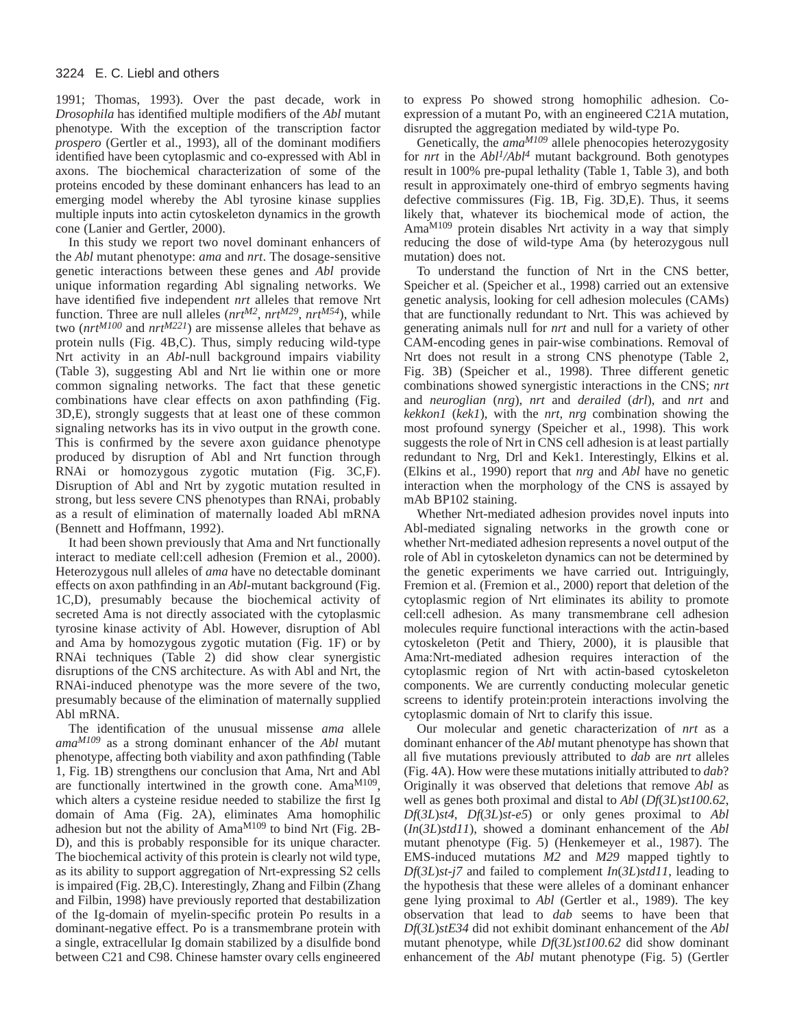1991; Thomas, 1993). Over the past decade, work in *Drosophila* has identified multiple modifiers of the *Abl* mutant phenotype. With the exception of the transcription factor *prospero* (Gertler et al., 1993), all of the dominant modifiers identified have been cytoplasmic and co-expressed with Abl in axons. The biochemical characterization of some of the proteins encoded by these dominant enhancers has lead to an emerging model whereby the Abl tyrosine kinase supplies multiple inputs into actin cytoskeleton dynamics in the growth cone (Lanier and Gertler, 2000).

In this study we report two novel dominant enhancers of the *Abl* mutant phenotype: *ama* and *nrt*. The dosage-sensitive genetic interactions between these genes and *Abl* provide unique information regarding Abl signaling networks. We have identified five independent *nrt* alleles that remove Nrt function. Three are null alleles (*nrtM2*, *nrtM29*, *nrtM54*), while two (*nrtM100* and *nrtM221*) are missense alleles that behave as protein nulls (Fig. 4B,C). Thus, simply reducing wild-type Nrt activity in an *Abl*-null background impairs viability (Table 3), suggesting Abl and Nrt lie within one or more common signaling networks. The fact that these genetic combinations have clear effects on axon pathfinding (Fig. 3D,E), strongly suggests that at least one of these common signaling networks has its in vivo output in the growth cone. This is confirmed by the severe axon guidance phenotype produced by disruption of Abl and Nrt function through RNAi or homozygous zygotic mutation (Fig. 3C,F). Disruption of Abl and Nrt by zygotic mutation resulted in strong, but less severe CNS phenotypes than RNAi, probably as a result of elimination of maternally loaded Abl mRNA (Bennett and Hoffmann, 1992).

It had been shown previously that Ama and Nrt functionally interact to mediate cell:cell adhesion (Fremion et al., 2000). Heterozygous null alleles of *ama* have no detectable dominant effects on axon pathfinding in an *Abl*-mutant background (Fig. 1C,D), presumably because the biochemical activity of secreted Ama is not directly associated with the cytoplasmic tyrosine kinase activity of Abl. However, disruption of Abl and Ama by homozygous zygotic mutation (Fig. 1F) or by RNAi techniques (Table 2) did show clear synergistic disruptions of the CNS architecture. As with Abl and Nrt, the RNAi-induced phenotype was the more severe of the two, presumably because of the elimination of maternally supplied Abl mRNA.

The identification of the unusual missense *ama* allele *amaM109* as a strong dominant enhancer of the *Abl* mutant phenotype, affecting both viability and axon pathfinding (Table 1, Fig. 1B) strengthens our conclusion that Ama, Nrt and Abl are functionally intertwined in the growth cone. Ama<sup>M109</sup>, which alters a cysteine residue needed to stabilize the first Ig domain of Ama (Fig. 2A), eliminates Ama homophilic adhesion but not the ability of AmaM109 to bind Nrt (Fig. 2B-D), and this is probably responsible for its unique character. The biochemical activity of this protein is clearly not wild type, as its ability to support aggregation of Nrt-expressing S2 cells is impaired (Fig. 2B,C). Interestingly, Zhang and Filbin (Zhang and Filbin, 1998) have previously reported that destabilization of the Ig-domain of myelin-specific protein Po results in a dominant-negative effect. Po is a transmembrane protein with a single, extracellular Ig domain stabilized by a disulfide bond between C21 and C98. Chinese hamster ovary cells engineered to express Po showed strong homophilic adhesion. Coexpression of a mutant Po, with an engineered C21A mutation, disrupted the aggregation mediated by wild-type Po.

Genetically, the *ama<sup>M109</sup>* allele phenocopies heterozygosity for *nrt* in the *Abl1/Abl4* mutant background. Both genotypes result in 100% pre-pupal lethality (Table 1, Table 3), and both result in approximately one-third of embryo segments having defective commissures (Fig. 1B, Fig. 3D,E). Thus, it seems likely that, whatever its biochemical mode of action, the AmaM109 protein disables Nrt activity in a way that simply reducing the dose of wild-type Ama (by heterozygous null mutation) does not.

To understand the function of Nrt in the CNS better, Speicher et al. (Speicher et al., 1998) carried out an extensive genetic analysis, looking for cell adhesion molecules (CAMs) that are functionally redundant to Nrt. This was achieved by generating animals null for *nrt* and null for a variety of other CAM-encoding genes in pair-wise combinations. Removal of Nrt does not result in a strong CNS phenotype (Table 2, Fig. 3B) (Speicher et al., 1998). Three different genetic combinations showed synergistic interactions in the CNS; *nrt* and *neuroglian* (*nrg*), *nrt* and *derailed* (*drl*), and *nrt* and *kekkon1* (*kek1*), with the *nrt, nrg* combination showing the most profound synergy (Speicher et al., 1998). This work suggests the role of Nrt in CNS cell adhesion is at least partially redundant to Nrg, Drl and Kek1. Interestingly, Elkins et al. (Elkins et al., 1990) report that *nrg* and *Abl* have no genetic interaction when the morphology of the CNS is assayed by mAb BP102 staining.

Whether Nrt-mediated adhesion provides novel inputs into Abl-mediated signaling networks in the growth cone or whether Nrt-mediated adhesion represents a novel output of the role of Abl in cytoskeleton dynamics can not be determined by the genetic experiments we have carried out. Intriguingly, Fremion et al. (Fremion et al., 2000) report that deletion of the cytoplasmic region of Nrt eliminates its ability to promote cell:cell adhesion. As many transmembrane cell adhesion molecules require functional interactions with the actin-based cytoskeleton (Petit and Thiery, 2000), it is plausible that Ama:Nrt-mediated adhesion requires interaction of the cytoplasmic region of Nrt with actin-based cytoskeleton components. We are currently conducting molecular genetic screens to identify protein:protein interactions involving the cytoplasmic domain of Nrt to clarify this issue.

Our molecular and genetic characterization of *nrt* as a dominant enhancer of the *Abl* mutant phenotype has shown that all five mutations previously attributed to *dab* are *nrt* alleles (Fig. 4A). How were these mutations initially attributed to *dab*? Originally it was observed that deletions that remove *Abl* as well as genes both proximal and distal to *Abl* (*Df*(*3L*)*st100.62*, *Df*(*3L*)*st4*, *Df*(*3L*)*st-e5*) or only genes proximal to *Abl* (*In*(*3L*)*std11*), showed a dominant enhancement of the *Abl* mutant phenotype (Fig. 5) (Henkemeyer et al., 1987). The EMS-induced mutations *M2* and *M29* mapped tightly to *Df*(*3L*)*st-j7* and failed to complement *In*(*3L*)*std11*, leading to the hypothesis that these were alleles of a dominant enhancer gene lying proximal to *Abl* (Gertler et al., 1989). The key observation that lead to *dab* seems to have been that *Df*(*3L*)*stE34* did not exhibit dominant enhancement of the *Abl* mutant phenotype, while *Df*(*3L*)*st100.62* did show dominant enhancement of the *Abl* mutant phenotype (Fig. 5) (Gertler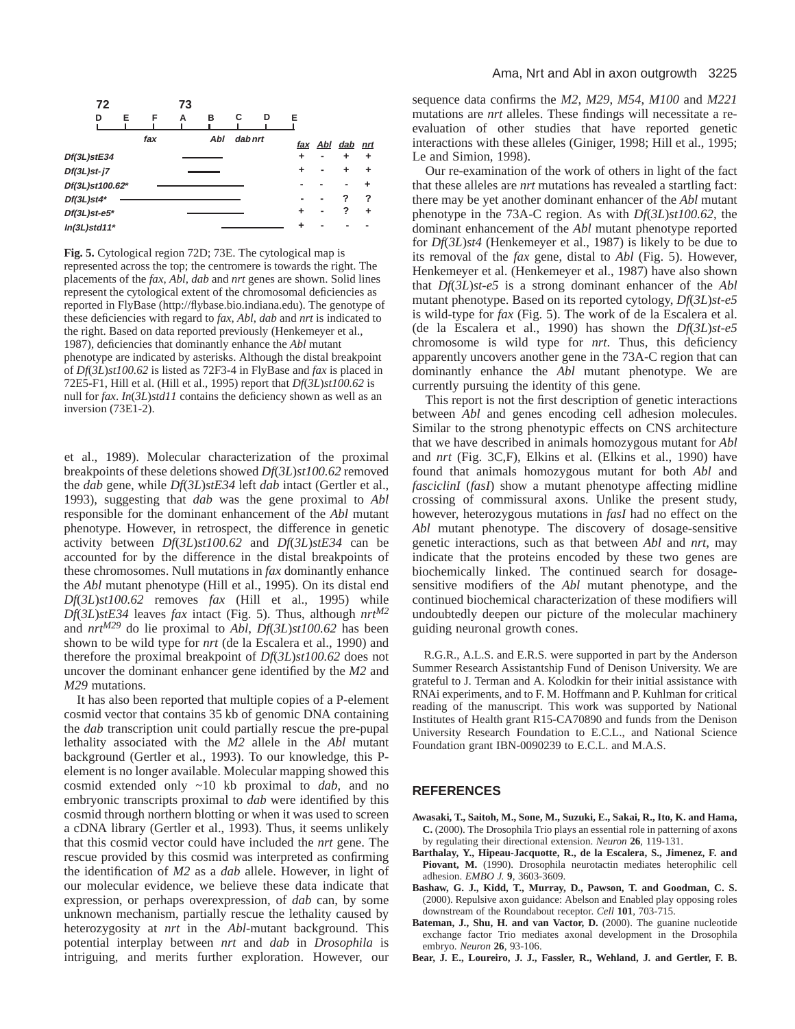

**Fig. 5.** Cytological region 72D; 73E. The cytological map is represented across the top; the centromere is towards the right. The placements of the *fax*, *Abl*, *dab* and *nrt* genes are shown. Solid lines represent the cytological extent of the chromosomal deficiencies as reported in FlyBase (http://flybase.bio.indiana.edu). The genotype of these deficiencies with regard to *fax*, *Abl*, *dab* and *nrt* is indicated to the right. Based on data reported previously (Henkemeyer et al., 1987), deficiencies that dominantly enhance the *Abl* mutant phenotype are indicated by asterisks. Although the distal breakpoint of *Df*(*3L*)*st100.62* is listed as 72F3-4 in FlyBase and *fax* is placed in 72E5-F1, Hill et al. (Hill et al., 1995) report that *Df*(*3L*)*st100.62* is null for *fax*. *In*(*3L*)*std11* contains the deficiency shown as well as an inversion (73E1-2).

et al., 1989). Molecular characterization of the proximal breakpoints of these deletions showed *Df*(*3L*)*st100.62* removed the *dab* gene, while *Df*(*3L*)*stE34* left *dab* intact (Gertler et al., 1993), suggesting that *dab* was the gene proximal to *Abl* responsible for the dominant enhancement of the *Abl* mutant phenotype. However, in retrospect, the difference in genetic activity between *Df*(*3L*)*st100.62* and *Df*(*3L*)*stE34* can be accounted for by the difference in the distal breakpoints of these chromosomes. Null mutations in *fax* dominantly enhance the *Abl* mutant phenotype (Hill et al., 1995). On its distal end *Df*(*3L*)*st100.62* removes *fax* (Hill et al., 1995) while *Df*(*3L*)*stE34* leaves *fax* intact (Fig. 5). Thus, although *nrtM2* and *nrtM29* do lie proximal to *Abl*, *Df*(*3L*)*st100.62* has been shown to be wild type for *nrt* (de la Escalera et al., 1990) and therefore the proximal breakpoint of *Df*(*3L*)*st100.62* does not uncover the dominant enhancer gene identified by the *M2* and *M29* mutations.

It has also been reported that multiple copies of a P-element cosmid vector that contains 35 kb of genomic DNA containing the *dab* transcription unit could partially rescue the pre-pupal lethality associated with the *M2* allele in the *Abl* mutant background (Gertler et al., 1993). To our knowledge, this Pelement is no longer available. Molecular mapping showed this cosmid extended only ~10 kb proximal to *dab*, and no embryonic transcripts proximal to *dab* were identified by this cosmid through northern blotting or when it was used to screen a cDNA library (Gertler et al., 1993). Thus, it seems unlikely that this cosmid vector could have included the *nrt* gene. The rescue provided by this cosmid was interpreted as confirming the identification of *M2* as a *dab* allele. However, in light of our molecular evidence, we believe these data indicate that expression, or perhaps overexpression, of *dab* can, by some unknown mechanism, partially rescue the lethality caused by heterozygosity at *nrt* in the *Abl*-mutant background. This potential interplay between *nrt* and *dab* in *Drosophila* is intriguing, and merits further exploration. However, our

sequence data confirms the *M2*, *M29*, *M54*, *M100* and *M221* mutations are *nrt* alleles. These findings will necessitate a reevaluation of other studies that have reported genetic interactions with these alleles (Giniger, 1998; Hill et al., 1995; Le and Simion, 1998).

Our re-examination of the work of others in light of the fact that these alleles are *nrt* mutations has revealed a startling fact: there may be yet another dominant enhancer of the *Abl* mutant phenotype in the 73A-C region. As with *Df*(*3L*)*st100.62*, the dominant enhancement of the *Abl* mutant phenotype reported for *Df*(*3L*)*st4* (Henkemeyer et al., 1987) is likely to be due to its removal of the *fax* gene, distal to *Abl* (Fig. 5). However, Henkemeyer et al. (Henkemeyer et al., 1987) have also shown that *Df*(*3L*)*st-e5* is a strong dominant enhancer of the *Abl* mutant phenotype. Based on its reported cytology, *Df*(*3L*)*st-e5* is wild-type for *fax* (Fig. 5). The work of de la Escalera et al. (de la Escalera et al., 1990) has shown the *Df*(*3L*)*st-e5* chromosome is wild type for *nrt*. Thus, this deficiency apparently uncovers another gene in the 73A-C region that can dominantly enhance the *Abl* mutant phenotype. We are currently pursuing the identity of this gene.

This report is not the first description of genetic interactions between *Abl* and genes encoding cell adhesion molecules. Similar to the strong phenotypic effects on CNS architecture that we have described in animals homozygous mutant for *Abl* and *nrt* (Fig. 3C,F), Elkins et al. (Elkins et al., 1990) have found that animals homozygous mutant for both *Abl* and *fasciclinI* (*fasI*) show a mutant phenotype affecting midline crossing of commissural axons. Unlike the present study, however, heterozygous mutations in *fasI* had no effect on the *Abl* mutant phenotype. The discovery of dosage-sensitive genetic interactions, such as that between *Abl* and *nrt*, may indicate that the proteins encoded by these two genes are biochemically linked. The continued search for dosagesensitive modifiers of the *Abl* mutant phenotype, and the continued biochemical characterization of these modifiers will undoubtedly deepen our picture of the molecular machinery guiding neuronal growth cones.

R.G.R., A.L.S. and E.R.S. were supported in part by the Anderson Summer Research Assistantship Fund of Denison University. We are grateful to J. Terman and A. Kolodkin for their initial assistance with RNAi experiments, and to F. M. Hoffmann and P. Kuhlman for critical reading of the manuscript. This work was supported by National Institutes of Health grant R15-CA70890 and funds from the Denison University Research Foundation to E.C.L., and National Science Foundation grant IBN-0090239 to E.C.L. and M.A.S.

#### **REFERENCES**

- **Awasaki, T., Saitoh, M., Sone, M., Suzuki, E., Sakai, R., Ito, K. and Hama, C.** (2000). The Drosophila Trio plays an essential role in patterning of axons by regulating their directional extension. *Neuron* **26**, 119-131.
- **Barthalay, Y., Hipeau-Jacquotte, R., de la Escalera, S., Jimenez, F. and** Piovant, M. (1990). Drosophila neurotactin mediates heterophilic cell adhesion. *EMBO J.* **9**, 3603-3609.
- **Bashaw, G. J., Kidd, T., Murray, D., Pawson, T. and Goodman, C. S.** (2000). Repulsive axon guidance: Abelson and Enabled play opposing roles downstream of the Roundabout receptor. *Cell* **101**, 703-715.
- **Bateman, J., Shu, H. and van Vactor, D.** (2000). The guanine nucleotide exchange factor Trio mediates axonal development in the Drosophila embryo. *Neuron* **26**, 93-106.
- **Bear, J. E., Loureiro, J. J., Fassler, R., Wehland, J. and Gertler, F. B.**